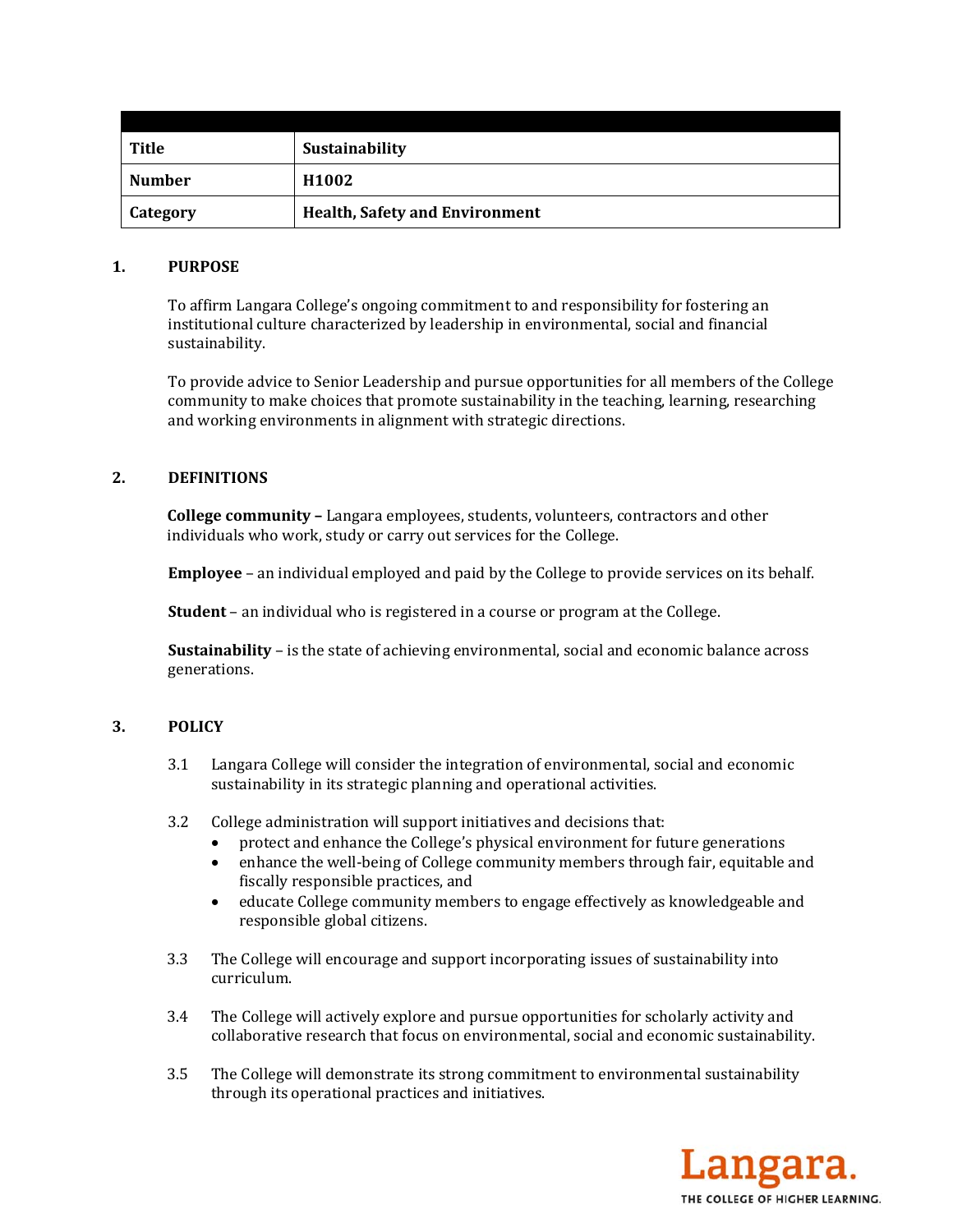| Title           | Sustainability                        |
|-----------------|---------------------------------------|
| Number          | H <sub>1002</sub>                     |
| <b>Category</b> | <b>Health, Safety and Environment</b> |

### **1. PURPOSE**

To affirm Langara College's ongoing commitment to and responsibility for fostering an institutional culture characterized by leadership in environmental, social and financial sustainability. 

To provide advice to Senior Leadership and pursue opportunities for all members of the College community to make choices that promote sustainability in the teaching, learning, researching and working environments in alignment with strategic directions.

# **2. DEFINITIONS**

**College community** – Langara employees, students, volunteers, contractors and other individuals who work, study or carry out services for the College.

**Employee** – an individual employed and paid by the College to provide services on its behalf.

**Student** – an individual who is registered in a course or program at the College.

**Sustainability** – is the state of achieving environmental, social and economic balance across generations. 

# **3. POLICY**

- 3.1 Langara College will consider the integration of environmental, social and economic sustainability in its strategic planning and operational activities.
- 3.2 College administration will support initiatives and decisions that:
	- protect and enhance the College's physical environment for future generations
	- enhance the well-being of College community members through fair, equitable and fiscally responsible practices, and
	- educate College community members to engage effectively as knowledgeable and responsible global citizens.
- 3.3 The College will encourage and support incorporating issues of sustainability into curriculum.
- 3.4 The College will actively explore and pursue opportunities for scholarly activity and collaborative research that focus on environmental, social and economic sustainability.
- 3.5 The College will demonstrate its strong commitment to environmental sustainability through its operational practices and initiatives.

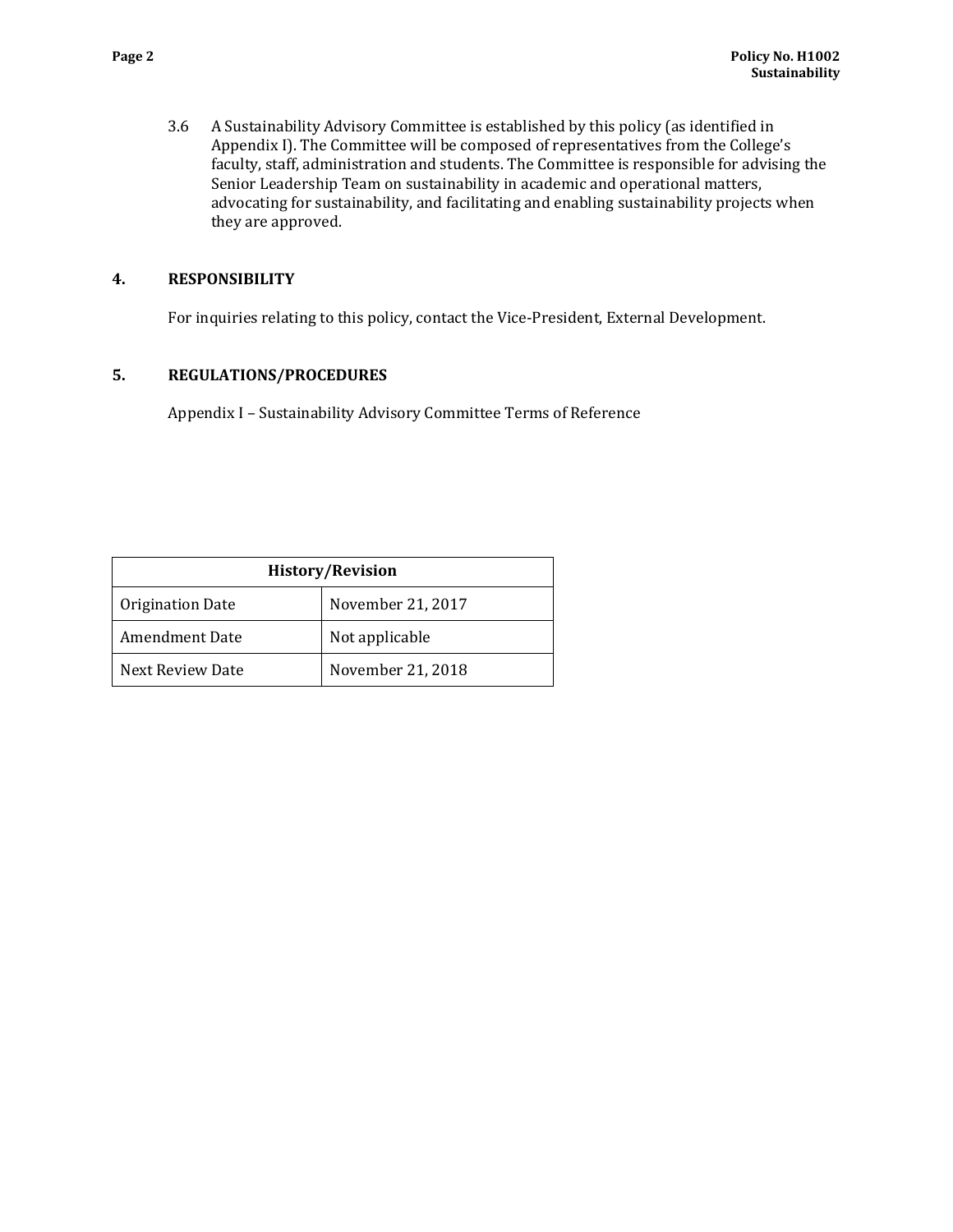3.6 A Sustainability Advisory Committee is established by this policy (as identified in Appendix I). The Committee will be composed of representatives from the College's faculty, staff, administration and students. The Committee is responsible for advising the Senior Leadership Team on sustainability in academic and operational matters, advocating for sustainability, and facilitating and enabling sustainability projects when they are approved.

# **4. RESPONSIBILITY**

For inquiries relating to this policy, contact the Vice-President, External Development.

## **5. REGULATIONS/PROCEDURES**

Appendix I - Sustainability Advisory Committee Terms of Reference

| <b>History/Revision</b> |                   |  |
|-------------------------|-------------------|--|
| Origination Date        | November 21, 2017 |  |
| <b>Amendment Date</b>   | Not applicable    |  |
| Next Review Date        | November 21, 2018 |  |